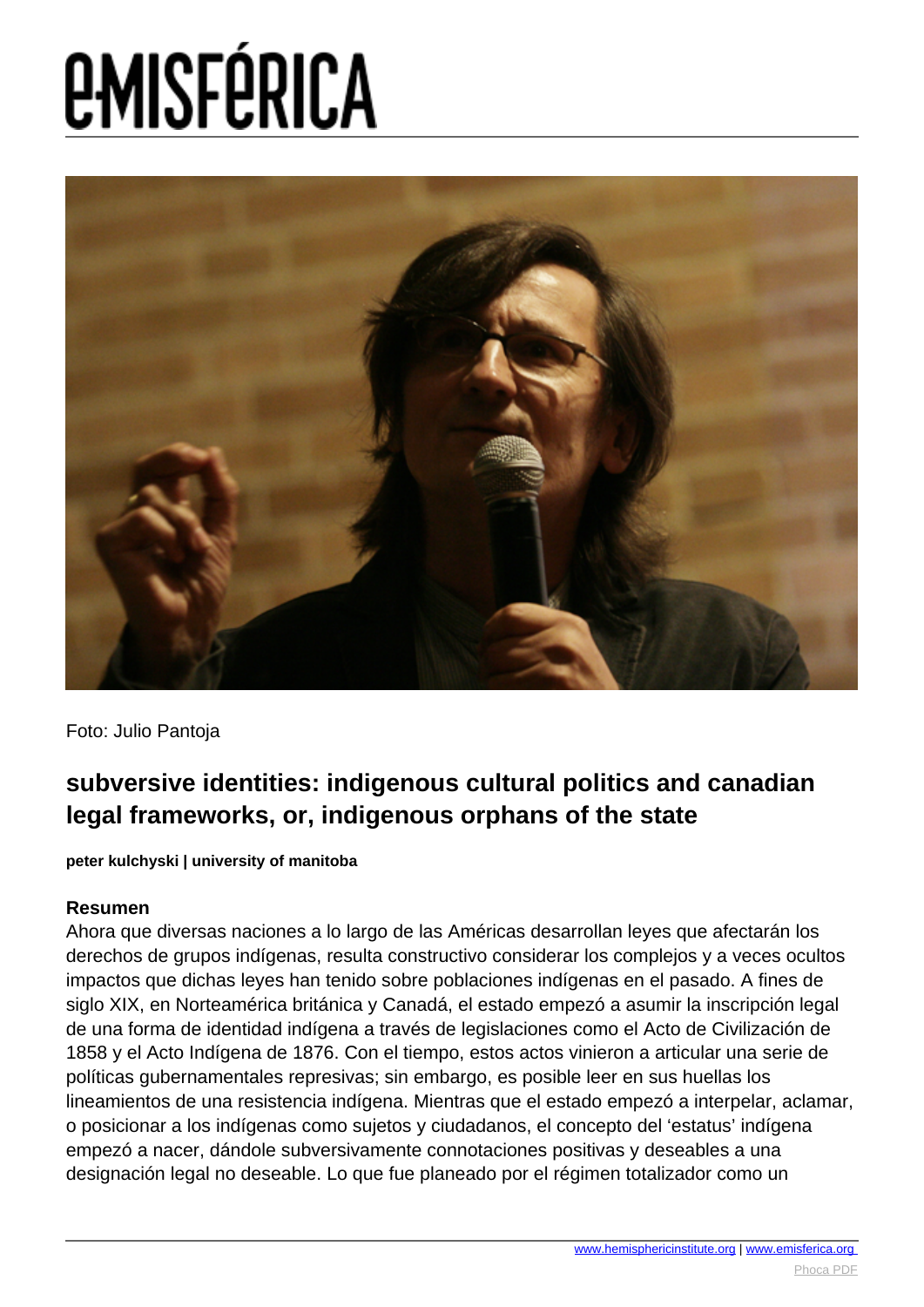

Foto: Julio Pantoja

#### **subversive identities: indigenous cultural politics and canadian legal frameworks, or, indigenous orphans of the state**

**peter kulchyski | university of manitoba**

#### **Resumen**

Ahora que diversas naciones a lo largo de las Américas desarrollan leyes que afectarán los derechos de grupos indígenas, resulta constructivo considerar los complejos y a veces ocultos impactos que dichas leyes han tenido sobre poblaciones indígenas en el pasado. A fines de siglo XIX, en Norteamérica británica y Canadá, el estado empezó a asumir la inscripción legal de una forma de identidad indígena a través de legislaciones como el Acto de Civilización de 1858 y el Acto Indígena de 1876. Con el tiempo, estos actos vinieron a articular una serie de políticas gubernamentales represivas; sin embargo, es posible leer en sus huellas los lineamientos de una resistencia indígena. Mientras que el estado empezó a interpelar, aclamar, o posicionar a los indígenas como sujetos y ciudadanos, el concepto del 'estatus' indígena empezó a nacer, dándole subversivamente connotaciones positivas y deseables a una designación legal no deseable. Lo que fue planeado por el régimen totalizador como un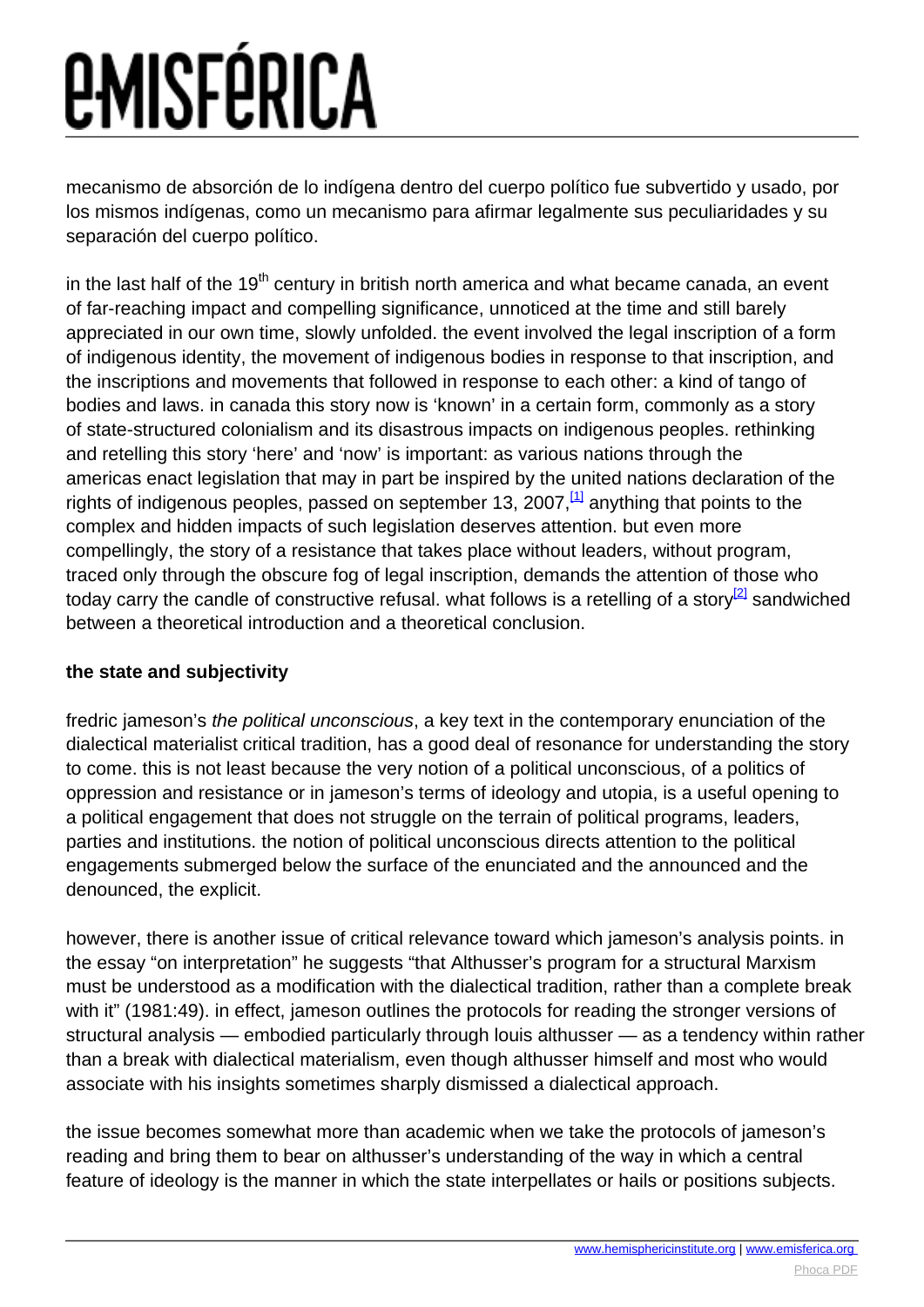<span id="page-1-0"></span>mecanismo de absorción de lo indígena dentro del cuerpo político fue subvertido y usado, por los mismos indígenas, como un mecanismo para afirmar legalmente sus peculiaridades y su separación del cuerpo político.

in the last half of the 19<sup>th</sup> century in british north america and what became canada, an event of far-reaching impact and compelling significance, unnoticed at the time and still barely appreciated in our own time, slowly unfolded. the event involved the legal inscription of a form of indigenous identity, the movement of indigenous bodies in response to that inscription, and the inscriptions and movements that followed in response to each other: a kind of tango of bodies and laws. in canada this story now is 'known' in a certain form, commonly as a story of state-structured colonialism and its disastrous impacts on indigenous peoples. rethinking and retelling this story 'here' and 'now' is important: as various nations through the americas enact legislation that may in part be inspired by the united nations declaration of the rights of indigenous peoples, passed on september 13, 2007,  $\frac{1}{1}$  anything that points to the complex and hidden impacts of such legislation deserves attention. but even more compellingly, the story of a resistance that takes place without leaders, without program, traced only through the obscure fog of legal inscription, demands the attention of those who today carry the candle of constructive refusal. what follows is a retelling of a story $^{2}$  sandwiched between a theoretical introduction and a theoretical conclusion.

#### **the state and subjectivity**

fredric jameson's the political unconscious, a key text in the contemporary enunciation of the dialectical materialist critical tradition, has a good deal of resonance for understanding the story to come. this is not least because the very notion of a political unconscious, of a politics of oppression and resistance or in jameson's terms of ideology and utopia, is a useful opening to a political engagement that does not struggle on the terrain of political programs, leaders, parties and institutions. the notion of political unconscious directs attention to the political engagements submerged below the surface of the enunciated and the announced and the denounced, the explicit.

however, there is another issue of critical relevance toward which jameson's analysis points. in the essay "on interpretation" he suggests "that Althusser's program for a structural Marxism must be understood as a modification with the dialectical tradition, rather than a complete break with it" (1981:49). in effect, jameson outlines the protocols for reading the stronger versions of structural analysis — embodied particularly through louis althusser — as a tendency within rather than a break with dialectical materialism, even though althusser himself and most who would associate with his insights sometimes sharply dismissed a dialectical approach.

the issue becomes somewhat more than academic when we take the protocols of jameson's reading and bring them to bear on althusser's understanding of the way in which a central feature of ideology is the manner in which the state interpellates or hails or positions subjects.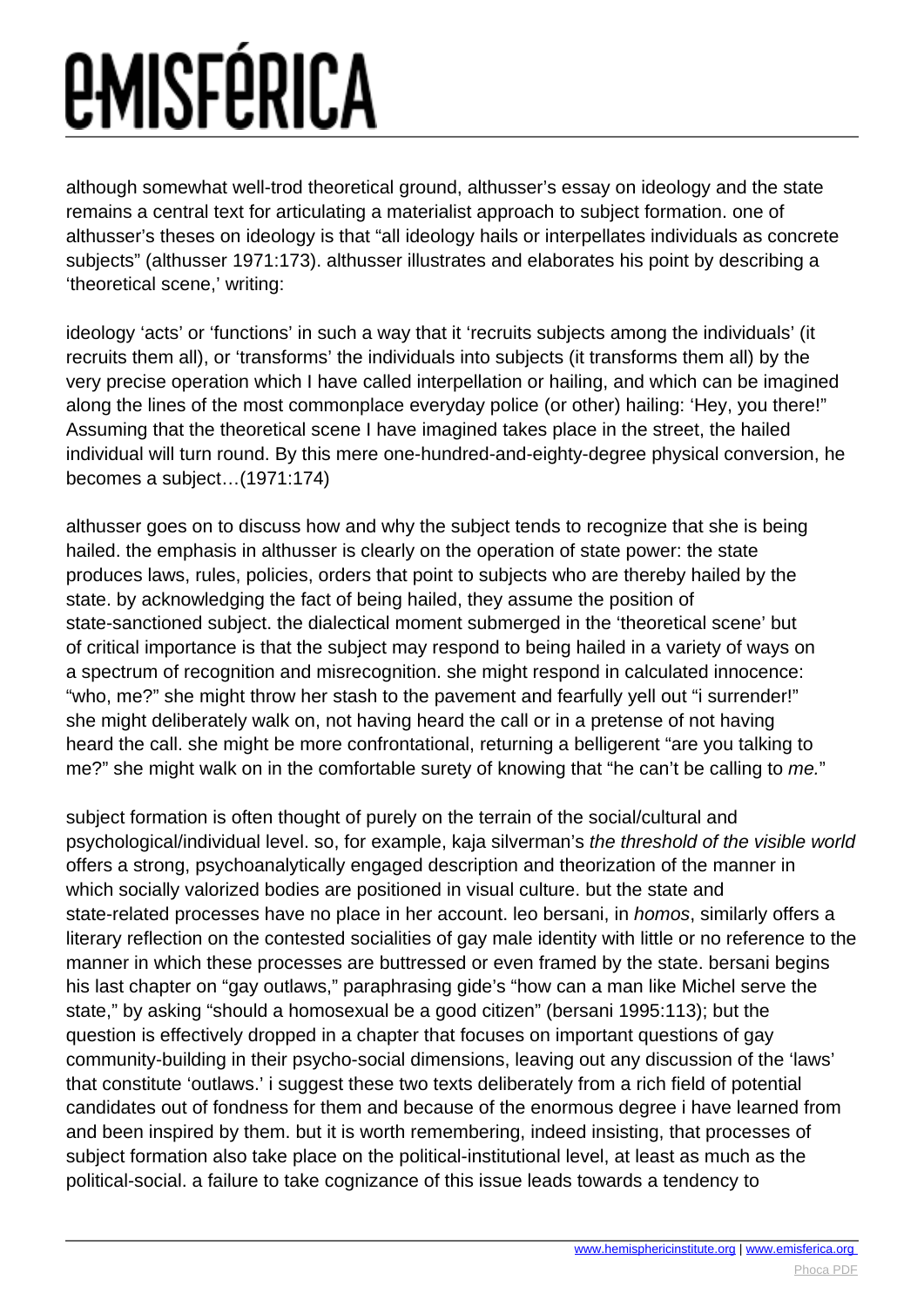### *EMISFÉRICA*

although somewhat well-trod theoretical ground, althusser's essay on ideology and the state remains a central text for articulating a materialist approach to subject formation. one of althusser's theses on ideology is that "all ideology hails or interpellates individuals as concrete subjects" (althusser 1971:173). althusser illustrates and elaborates his point by describing a 'theoretical scene,' writing:

ideology 'acts' or 'functions' in such a way that it 'recruits subjects among the individuals' (it recruits them all), or 'transforms' the individuals into subjects (it transforms them all) by the very precise operation which I have called interpellation or hailing, and which can be imagined along the lines of the most commonplace everyday police (or other) hailing: 'Hey, you there!" Assuming that the theoretical scene I have imagined takes place in the street, the hailed individual will turn round. By this mere one-hundred-and-eighty-degree physical conversion, he becomes a subject…(1971:174)

althusser goes on to discuss how and why the subject tends to recognize that she is being hailed. the emphasis in althusser is clearly on the operation of state power: the state produces laws, rules, policies, orders that point to subjects who are thereby hailed by the state. by acknowledging the fact of being hailed, they assume the position of state-sanctioned subject. the dialectical moment submerged in the 'theoretical scene' but of critical importance is that the subject may respond to being hailed in a variety of ways on a spectrum of recognition and misrecognition. she might respond in calculated innocence: "who, me?" she might throw her stash to the pavement and fearfully yell out "i surrender!" she might deliberately walk on, not having heard the call or in a pretense of not having heard the call. she might be more confrontational, returning a belligerent "are you talking to me?" she might walk on in the comfortable surety of knowing that "he can't be calling to me."

subject formation is often thought of purely on the terrain of the social/cultural and psychological/individual level. so, for example, kaja silverman's the threshold of the visible world offers a strong, psychoanalytically engaged description and theorization of the manner in which socially valorized bodies are positioned in visual culture. but the state and state-related processes have no place in her account. leo bersani, in *homos*, similarly offers a literary reflection on the contested socialities of gay male identity with little or no reference to the manner in which these processes are buttressed or even framed by the state. bersani begins his last chapter on "gay outlaws," paraphrasing gide's "how can a man like Michel serve the state," by asking "should a homosexual be a good citizen" (bersani 1995:113); but the question is effectively dropped in a chapter that focuses on important questions of gay community-building in their psycho-social dimensions, leaving out any discussion of the 'laws' that constitute 'outlaws.' i suggest these two texts deliberately from a rich field of potential candidates out of fondness for them and because of the enormous degree i have learned from and been inspired by them. but it is worth remembering, indeed insisting, that processes of subject formation also take place on the political-institutional level, at least as much as the political-social. a failure to take cognizance of this issue leads towards a tendency to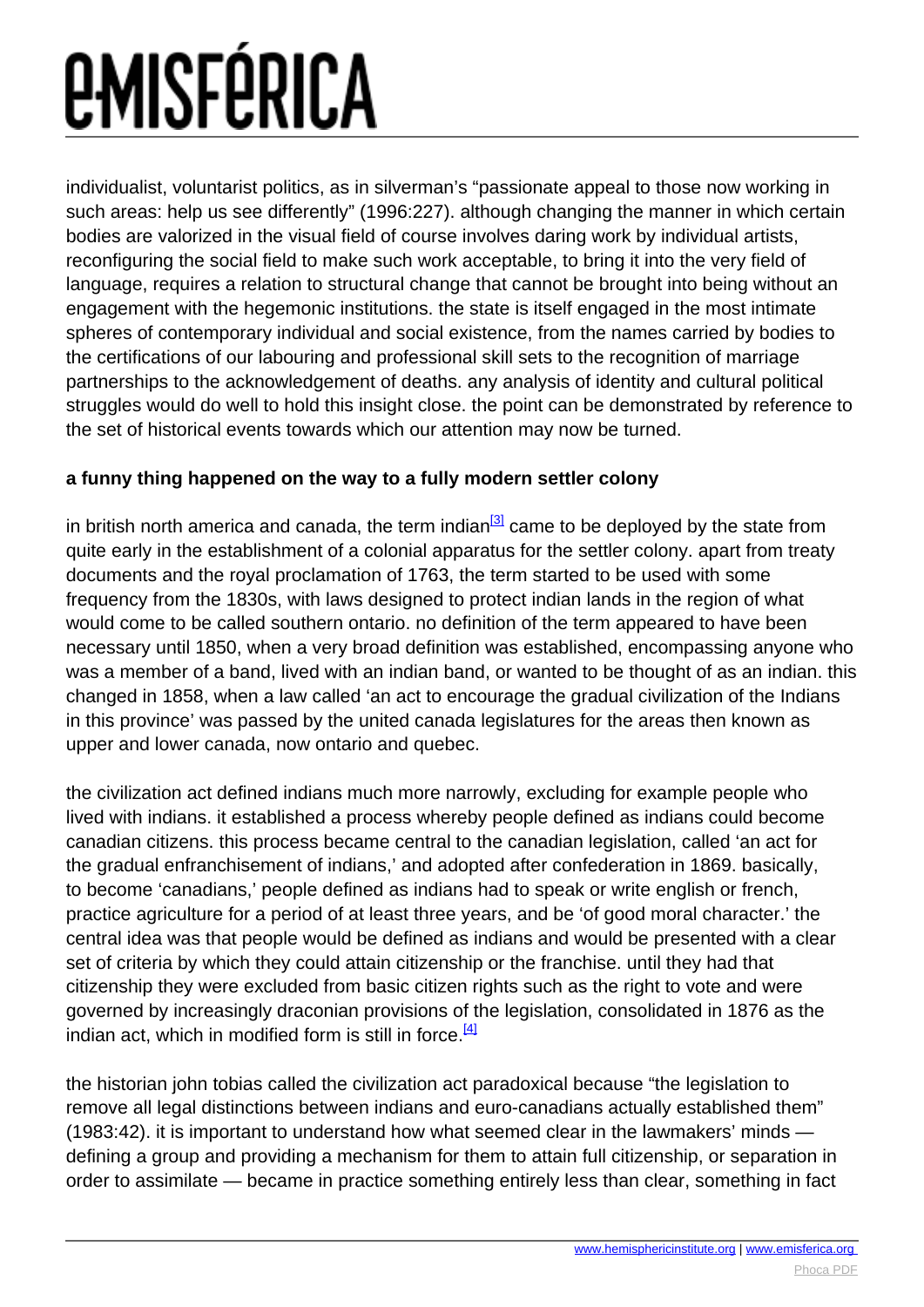<span id="page-3-0"></span>individualist, voluntarist politics, as in silverman's "passionate appeal to those now working in such areas: help us see differently" (1996:227). although changing the manner in which certain bodies are valorized in the visual field of course involves daring work by individual artists, reconfiguring the social field to make such work acceptable, to bring it into the very field of language, requires a relation to structural change that cannot be brought into being without an engagement with the hegemonic institutions. the state is itself engaged in the most intimate spheres of contemporary individual and social existence, from the names carried by bodies to the certifications of our labouring and professional skill sets to the recognition of marriage partnerships to the acknowledgement of deaths. any analysis of identity and cultural political struggles would do well to hold this insight close. the point can be demonstrated by reference to the set of historical events towards which our attention may now be turned.

#### **a funny thing happened on the way to a fully modern settler colony**

in british north america and canada, the term indian $^{[3]}$  $^{[3]}$  $^{[3]}$  came to be deployed by the state from quite early in the establishment of a colonial apparatus for the settler colony. apart from treaty documents and the royal proclamation of 1763, the term started to be used with some frequency from the 1830s, with laws designed to protect indian lands in the region of what would come to be called southern ontario. no definition of the term appeared to have been necessary until 1850, when a very broad definition was established, encompassing anyone who was a member of a band, lived with an indian band, or wanted to be thought of as an indian. this changed in 1858, when a law called 'an act to encourage the gradual civilization of the Indians in this province' was passed by the united canada legislatures for the areas then known as upper and lower canada, now ontario and quebec.

the civilization act defined indians much more narrowly, excluding for example people who lived with indians. it established a process whereby people defined as indians could become canadian citizens. this process became central to the canadian legislation, called 'an act for the gradual enfranchisement of indians,' and adopted after confederation in 1869. basically, to become 'canadians,' people defined as indians had to speak or write english or french, practice agriculture for a period of at least three years, and be 'of good moral character.' the central idea was that people would be defined as indians and would be presented with a clear set of criteria by which they could attain citizenship or the franchise. until they had that citizenship they were excluded from basic citizen rights such as the right to vote and were governed by increasingly draconian provisions of the legislation, consolidated in 1876 as the indian act, which in modified form is still in force.  $[4]$ 

the historian john tobias called the civilization act paradoxical because "the legislation to remove all legal distinctions between indians and euro-canadians actually established them" (1983:42). it is important to understand how what seemed clear in the lawmakers' minds defining a group and providing a mechanism for them to attain full citizenship, or separation in order to assimilate — became in practice something entirely less than clear, something in fact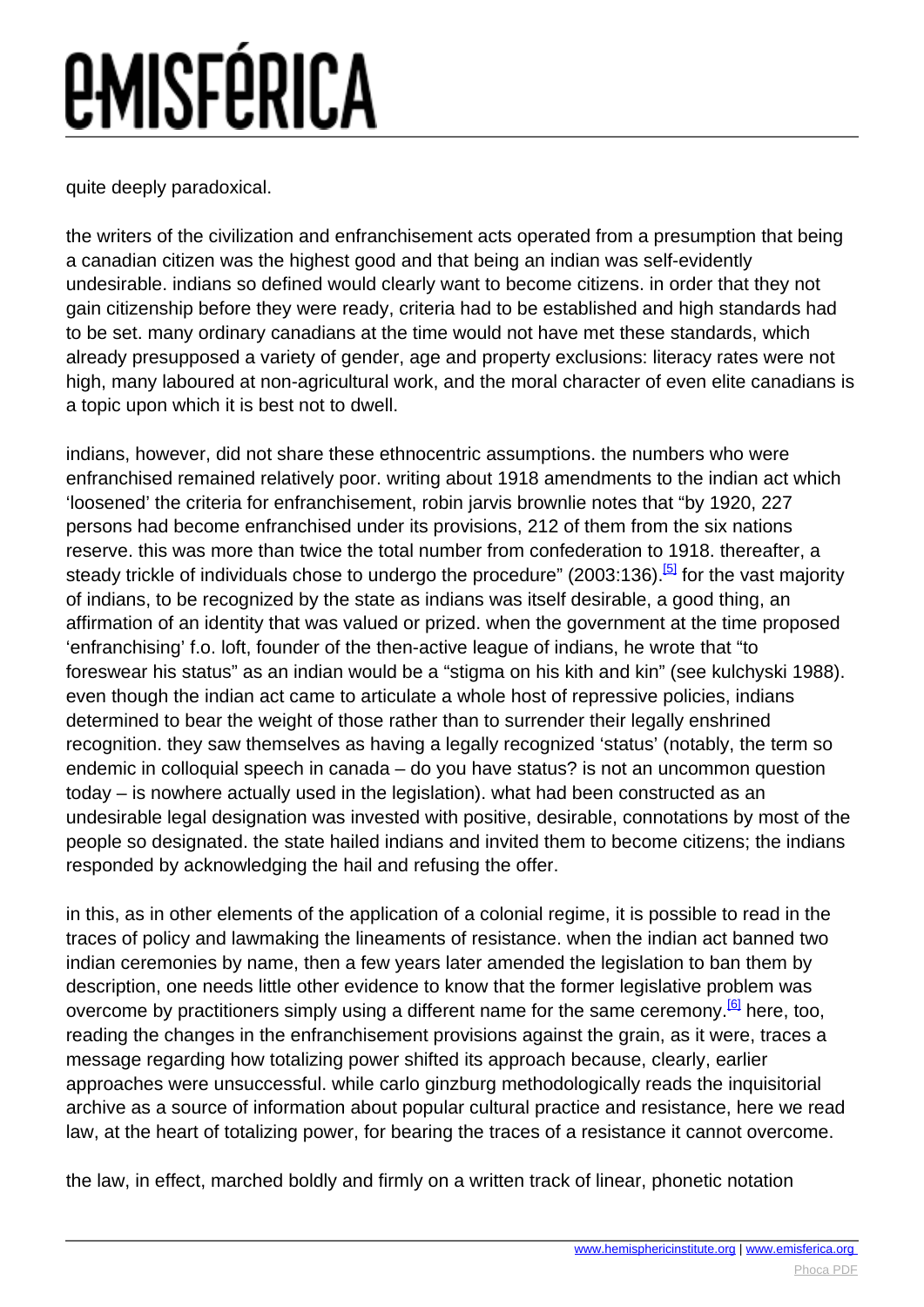<span id="page-4-0"></span>quite deeply paradoxical.

the writers of the civilization and enfranchisement acts operated from a presumption that being a canadian citizen was the highest good and that being an indian was self-evidently undesirable. indians so defined would clearly want to become citizens. in order that they not gain citizenship before they were ready, criteria had to be established and high standards had to be set. many ordinary canadians at the time would not have met these standards, which already presupposed a variety of gender, age and property exclusions: literacy rates were not high, many laboured at non-agricultural work, and the moral character of even elite canadians is a topic upon which it is best not to dwell.

indians, however, did not share these ethnocentric assumptions. the numbers who were enfranchised remained relatively poor. writing about 1918 amendments to the indian act which 'loosened' the criteria for enfranchisement, robin jarvis brownlie notes that "by 1920, 227 persons had become enfranchised under its provisions, 212 of them from the six nations reserve. this was more than twice the total number from confederation to 1918. thereafter, a steady trickle of individuals chose to undergo the procedure" (2003:136).<sup>[\[5\]](#page-4-0)</sup> for the vast majority of indians, to be recognized by the state as indians was itself desirable, a good thing, an affirmation of an identity that was valued or prized. when the government at the time proposed 'enfranchising' f.o. loft, founder of the then-active league of indians, he wrote that "to foreswear his status" as an indian would be a "stigma on his kith and kin" (see kulchyski 1988). even though the indian act came to articulate a whole host of repressive policies, indians determined to bear the weight of those rather than to surrender their legally enshrined recognition. they saw themselves as having a legally recognized 'status' (notably, the term so endemic in colloquial speech in canada – do you have status? is not an uncommon question today – is nowhere actually used in the legislation). what had been constructed as an undesirable legal designation was invested with positive, desirable, connotations by most of the people so designated. the state hailed indians and invited them to become citizens; the indians responded by acknowledging the hail and refusing the offer.

in this, as in other elements of the application of a colonial regime, it is possible to read in the traces of policy and lawmaking the lineaments of resistance. when the indian act banned two indian ceremonies by name, then a few years later amended the legislation to ban them by description, one needs little other evidence to know that the former legislative problem was overcome by practitioners simply using a different name for the same ceremony.<sup>[\[6\]](#page-4-0)</sup> here, too, reading the changes in the enfranchisement provisions against the grain, as it were, traces a message regarding how totalizing power shifted its approach because, clearly, earlier approaches were unsuccessful. while carlo ginzburg methodologically reads the inquisitorial archive as a source of information about popular cultural practice and resistance, here we read law, at the heart of totalizing power, for bearing the traces of a resistance it cannot overcome.

the law, in effect, marched boldly and firmly on a written track of linear, phonetic notation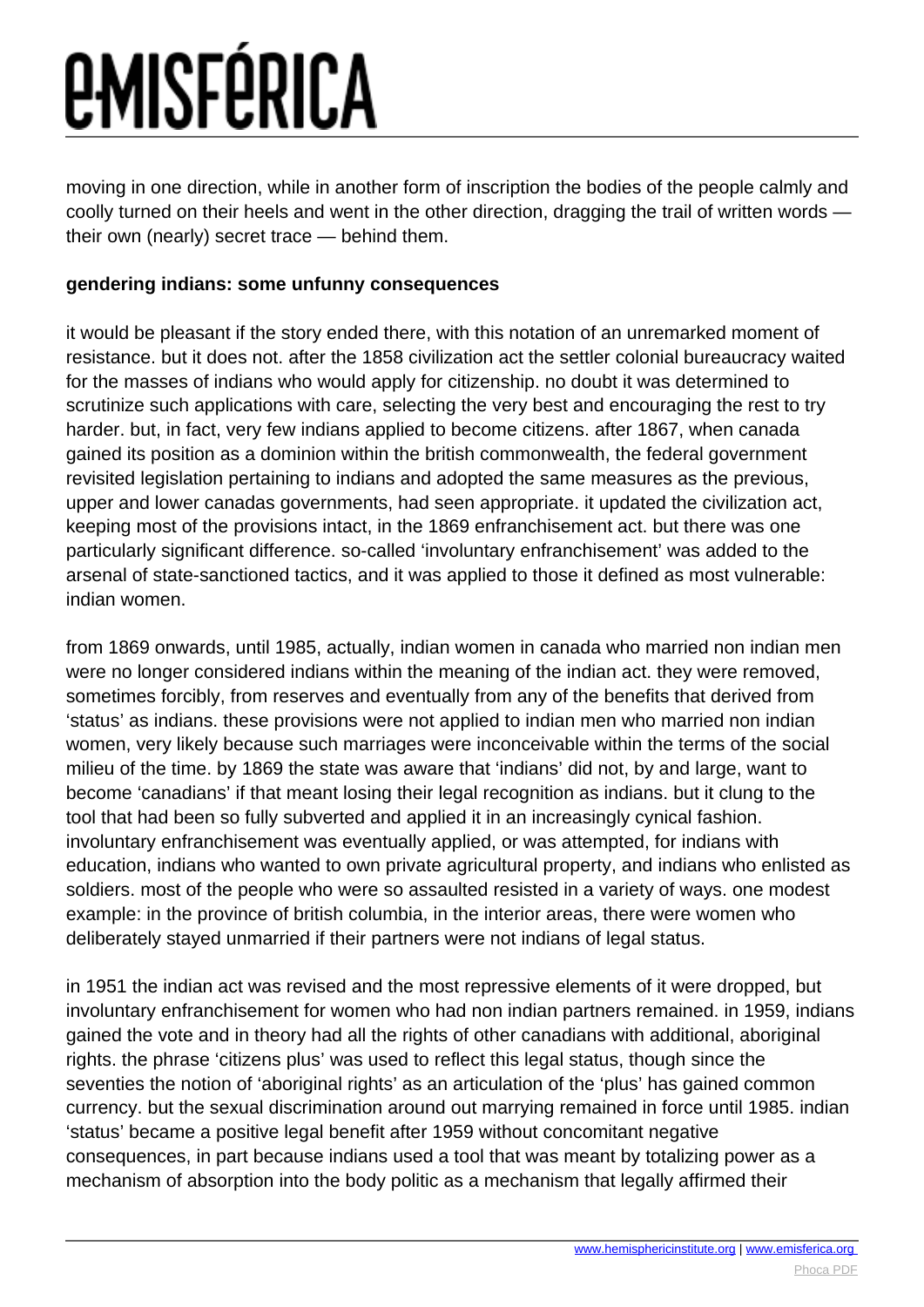moving in one direction, while in another form of inscription the bodies of the people calmly and coolly turned on their heels and went in the other direction, dragging the trail of written words their own (nearly) secret trace — behind them.

#### **gendering indians: some unfunny consequences**

it would be pleasant if the story ended there, with this notation of an unremarked moment of resistance. but it does not. after the 1858 civilization act the settler colonial bureaucracy waited for the masses of indians who would apply for citizenship. no doubt it was determined to scrutinize such applications with care, selecting the very best and encouraging the rest to try harder. but, in fact, very few indians applied to become citizens. after 1867, when canada gained its position as a dominion within the british commonwealth, the federal government revisited legislation pertaining to indians and adopted the same measures as the previous, upper and lower canadas governments, had seen appropriate. it updated the civilization act, keeping most of the provisions intact, in the 1869 enfranchisement act. but there was one particularly significant difference. so-called 'involuntary enfranchisement' was added to the arsenal of state-sanctioned tactics, and it was applied to those it defined as most vulnerable: indian women.

from 1869 onwards, until 1985, actually, indian women in canada who married non indian men were no longer considered indians within the meaning of the indian act. they were removed, sometimes forcibly, from reserves and eventually from any of the benefits that derived from 'status' as indians. these provisions were not applied to indian men who married non indian women, very likely because such marriages were inconceivable within the terms of the social milieu of the time. by 1869 the state was aware that 'indians' did not, by and large, want to become 'canadians' if that meant losing their legal recognition as indians. but it clung to the tool that had been so fully subverted and applied it in an increasingly cynical fashion. involuntary enfranchisement was eventually applied, or was attempted, for indians with education, indians who wanted to own private agricultural property, and indians who enlisted as soldiers. most of the people who were so assaulted resisted in a variety of ways. one modest example: in the province of british columbia, in the interior areas, there were women who deliberately stayed unmarried if their partners were not indians of legal status.

in 1951 the indian act was revised and the most repressive elements of it were dropped, but involuntary enfranchisement for women who had non indian partners remained. in 1959, indians gained the vote and in theory had all the rights of other canadians with additional, aboriginal rights. the phrase 'citizens plus' was used to reflect this legal status, though since the seventies the notion of 'aboriginal rights' as an articulation of the 'plus' has gained common currency. but the sexual discrimination around out marrying remained in force until 1985. indian 'status' became a positive legal benefit after 1959 without concomitant negative consequences, in part because indians used a tool that was meant by totalizing power as a mechanism of absorption into the body politic as a mechanism that legally affirmed their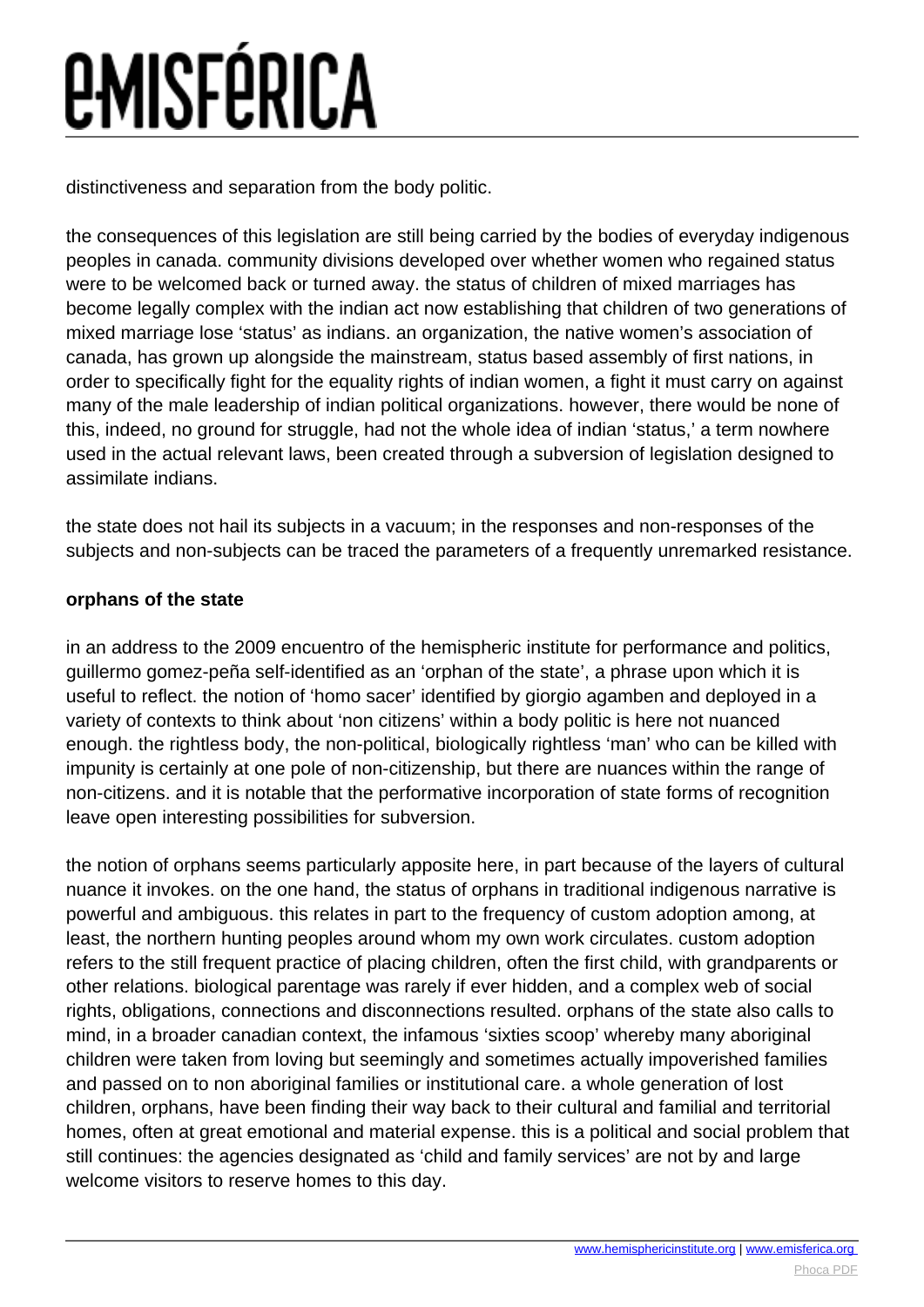distinctiveness and separation from the body politic.

the consequences of this legislation are still being carried by the bodies of everyday indigenous peoples in canada. community divisions developed over whether women who regained status were to be welcomed back or turned away. the status of children of mixed marriages has become legally complex with the indian act now establishing that children of two generations of mixed marriage lose 'status' as indians. an organization, the native women's association of canada, has grown up alongside the mainstream, status based assembly of first nations, in order to specifically fight for the equality rights of indian women, a fight it must carry on against many of the male leadership of indian political organizations. however, there would be none of this, indeed, no ground for struggle, had not the whole idea of indian 'status,' a term nowhere used in the actual relevant laws, been created through a subversion of legislation designed to assimilate indians.

the state does not hail its subjects in a vacuum; in the responses and non-responses of the subjects and non-subjects can be traced the parameters of a frequently unremarked resistance.

#### **orphans of the state**

in an address to the 2009 encuentro of the hemispheric institute for performance and politics, guillermo gomez-peña self-identified as an 'orphan of the state', a phrase upon which it is useful to reflect. the notion of 'homo sacer' identified by giorgio agamben and deployed in a variety of contexts to think about 'non citizens' within a body politic is here not nuanced enough. the rightless body, the non-political, biologically rightless 'man' who can be killed with impunity is certainly at one pole of non-citizenship, but there are nuances within the range of non-citizens. and it is notable that the performative incorporation of state forms of recognition leave open interesting possibilities for subversion.

the notion of orphans seems particularly apposite here, in part because of the layers of cultural nuance it invokes. on the one hand, the status of orphans in traditional indigenous narrative is powerful and ambiguous. this relates in part to the frequency of custom adoption among, at least, the northern hunting peoples around whom my own work circulates. custom adoption refers to the still frequent practice of placing children, often the first child, with grandparents or other relations. biological parentage was rarely if ever hidden, and a complex web of social rights, obligations, connections and disconnections resulted. orphans of the state also calls to mind, in a broader canadian context, the infamous 'sixties scoop' whereby many aboriginal children were taken from loving but seemingly and sometimes actually impoverished families and passed on to non aboriginal families or institutional care. a whole generation of lost children, orphans, have been finding their way back to their cultural and familial and territorial homes, often at great emotional and material expense. this is a political and social problem that still continues: the agencies designated as 'child and family services' are not by and large welcome visitors to reserve homes to this day.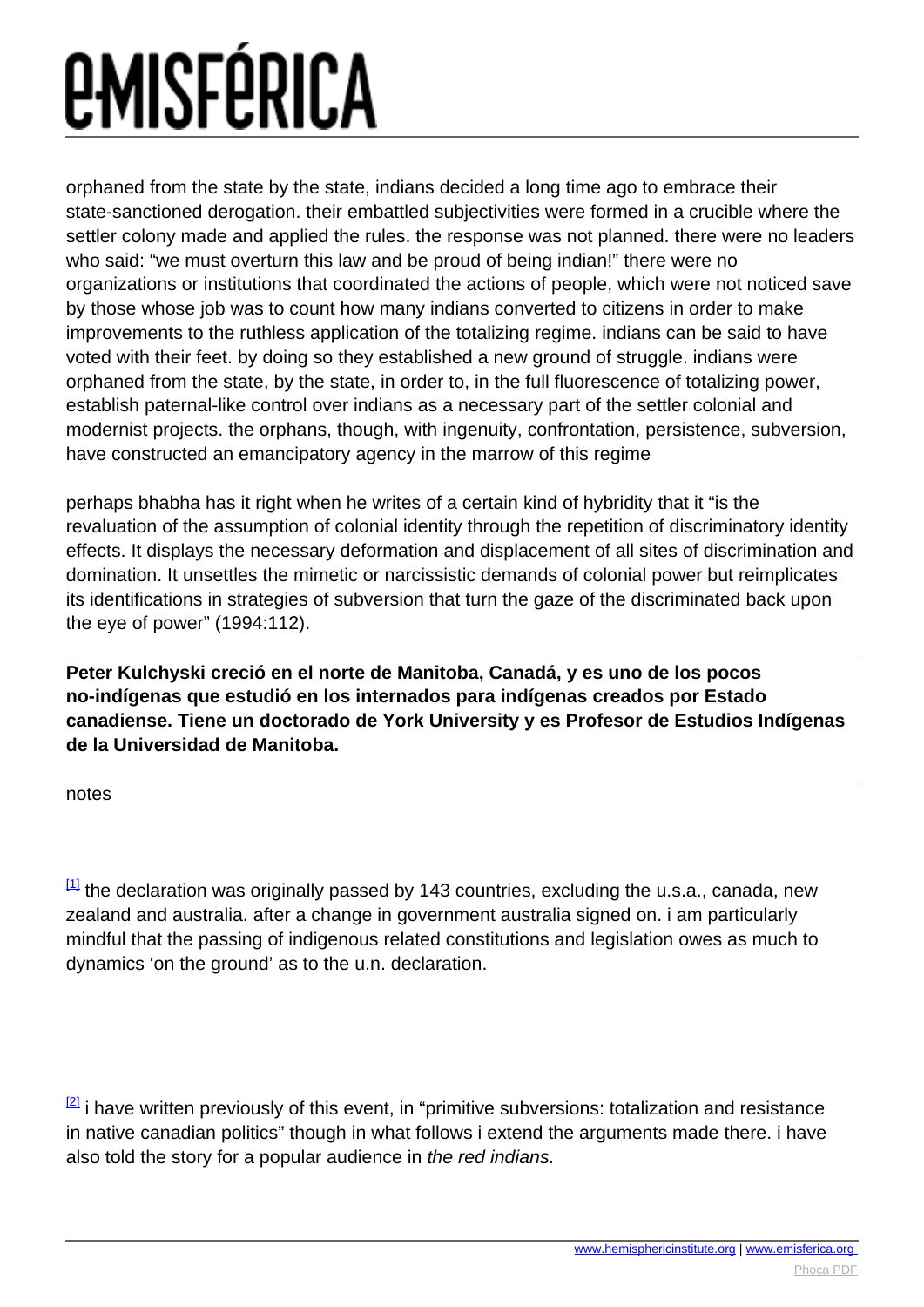### <span id="page-7-0"></span>*EMISFÉRICA*

orphaned from the state by the state, indians decided a long time ago to embrace their state-sanctioned derogation. their embattled subjectivities were formed in a crucible where the settler colony made and applied the rules. the response was not planned. there were no leaders who said: "we must overturn this law and be proud of being indian!" there were no organizations or institutions that coordinated the actions of people, which were not noticed save by those whose job was to count how many indians converted to citizens in order to make improvements to the ruthless application of the totalizing regime. indians can be said to have voted with their feet. by doing so they established a new ground of struggle. indians were orphaned from the state, by the state, in order to, in the full fluorescence of totalizing power, establish paternal-like control over indians as a necessary part of the settler colonial and modernist projects. the orphans, though, with ingenuity, confrontation, persistence, subversion, have constructed an emancipatory agency in the marrow of this regime

perhaps bhabha has it right when he writes of a certain kind of hybridity that it "is the revaluation of the assumption of colonial identity through the repetition of discriminatory identity effects. It displays the necessary deformation and displacement of all sites of discrimination and domination. It unsettles the mimetic or narcissistic demands of colonial power but reimplicates its identifications in strategies of subversion that turn the gaze of the discriminated back upon the eye of power" (1994:112).

**Peter Kulchyski creció en el norte de Manitoba, Canadá, y es uno de los pocos no-indígenas que estudió en los internados para indígenas creados por Estado canadiense. Tiene un doctorado de York University y es Profesor de Estudios Indígenas de la Universidad de Manitoba.**

notes

 $\left[1\right]$  the declaration was originally passed by 143 countries, excluding the u.s.a., canada, new zealand and australia. after a change in government australia signed on. i am particularly mindful that the passing of indigenous related constitutions and legislation owes as much to dynamics 'on the ground' as to the u.n. declaration.

 $^{[2]}$  $^{[2]}$  $^{[2]}$  i have written previously of this event, in "primitive subversions: totalization and resistance in native canadian politics" though in what follows i extend the arguments made there. i have also told the story for a popular audience in the red indians.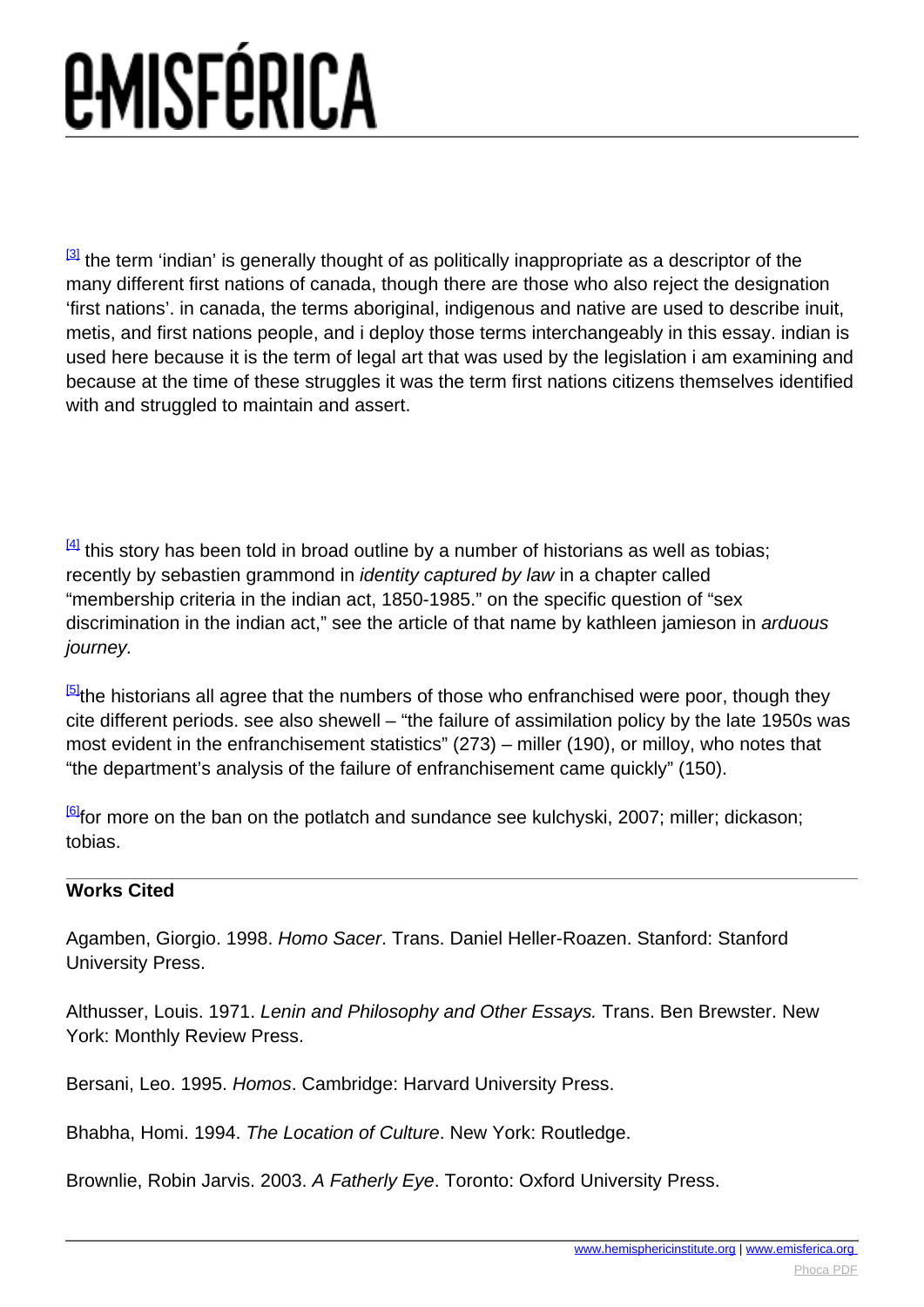<span id="page-8-0"></span> $\frac{3}{3}$  the term 'indian' is generally thought of as politically inappropriate as a descriptor of the many different first nations of canada, though there are those who also reject the designation 'first nations'. in canada, the terms aboriginal, indigenous and native are used to describe inuit, metis, and first nations people, and i deploy those terms interchangeably in this essay. indian is used here because it is the term of legal art that was used by the legislation i am examining and because at the time of these struggles it was the term first nations citizens themselves identified with and struggled to maintain and assert.

 $\frac{[4]}{[4]}$  $\frac{[4]}{[4]}$  $\frac{[4]}{[4]}$  this story has been told in broad outline by a number of historians as well as tobias; recently by sebastien grammond in *identity captured by law* in a chapter called "membership criteria in the indian act, 1850-1985." on the specific question of "sex discrimination in the indian act," see the article of that name by kathleen jamieson in arduous journey.

<sup>[\[5\]](#page-8-0)</sup>the historians all agree that the numbers of those who enfranchised were poor, though they cite different periods. see also shewell – "the failure of assimilation policy by the late 1950s was most evident in the enfranchisement statistics" (273) – miller (190), or milloy, who notes that "the department's analysis of the failure of enfranchisement came quickly" (150).

 $\frac{[6]}{[6]}$  $\frac{[6]}{[6]}$  $\frac{[6]}{[6]}$  for more on the ban on the potlatch and sundance see kulchyski, 2007; miller; dickason; tobias.

#### **Works Cited**

Agamben, Giorgio. 1998. Homo Sacer. Trans. Daniel Heller-Roazen. Stanford: Stanford University Press.

Althusser, Louis. 1971. Lenin and Philosophy and Other Essays. Trans. Ben Brewster. New York: Monthly Review Press.

Bersani, Leo. 1995. Homos. Cambridge: Harvard University Press.

Bhabha, Homi. 1994. The Location of Culture. New York: Routledge.

Brownlie, Robin Jarvis, 2003. A Fatherly Eve. Toronto: Oxford University Press.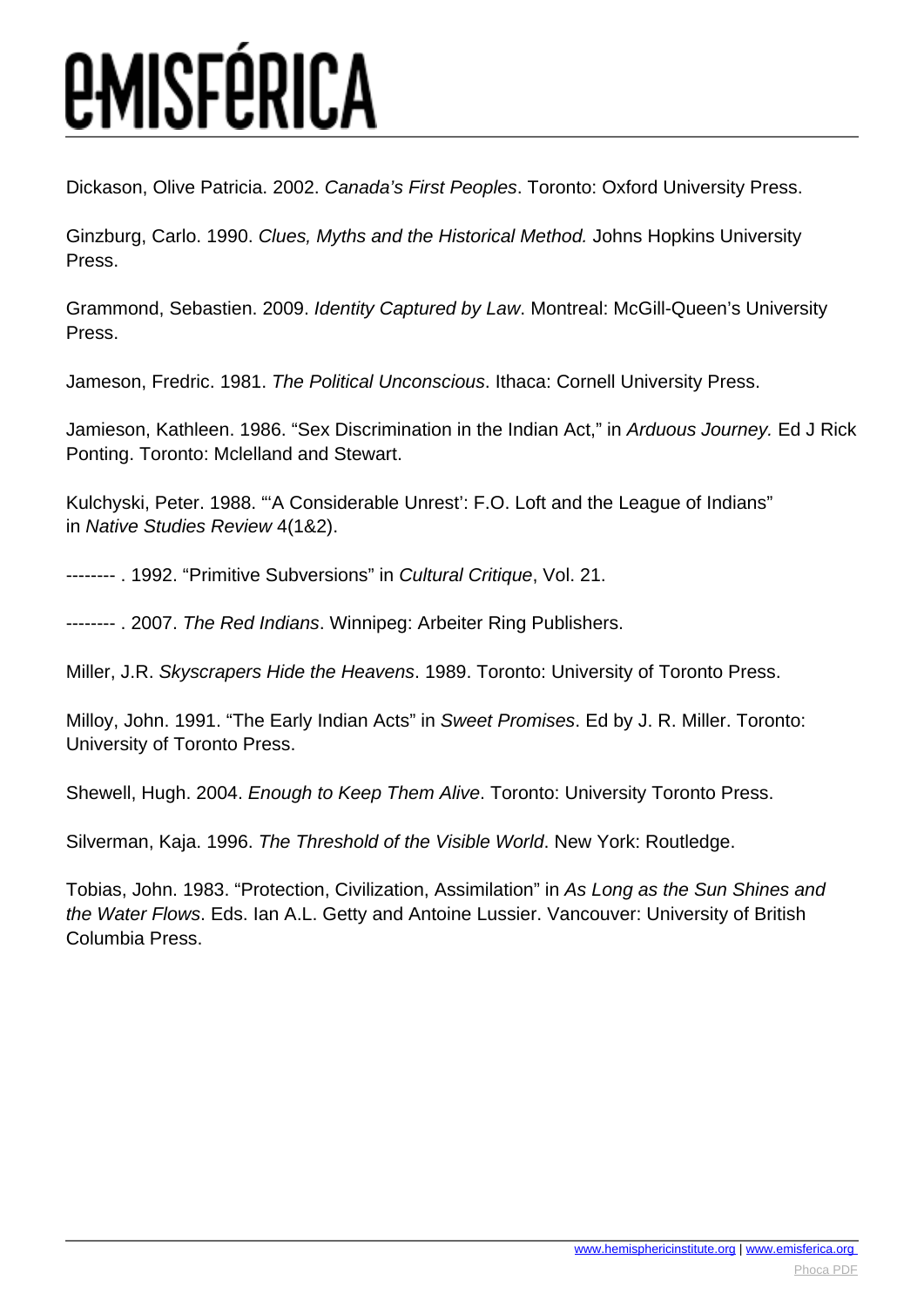Dickason, Olive Patricia. 2002. Canada's First Peoples. Toronto: Oxford University Press.

Ginzburg, Carlo. 1990. Clues, Myths and the Historical Method. Johns Hopkins University Press.

Grammond, Sebastien. 2009. Identity Captured by Law. Montreal: McGill-Queen's University Press.

Jameson, Fredric. 1981. The Political Unconscious. Ithaca: Cornell University Press.

Jamieson, Kathleen. 1986. "Sex Discrimination in the Indian Act," in Arduous Journey. Ed J Rick Ponting. Toronto: Mclelland and Stewart.

Kulchyski, Peter. 1988. "'A Considerable Unrest': F.O. Loft and the League of Indians" in Native Studies Review 4(1&2).

-------- . 1992. "Primitive Subversions" in Cultural Critique, Vol. 21.

-------- . 2007. The Red Indians. Winnipeg: Arbeiter Ring Publishers.

Miller, J.R. Skyscrapers Hide the Heavens. 1989. Toronto: University of Toronto Press.

Milloy, John. 1991. "The Early Indian Acts" in Sweet Promises. Ed by J. R. Miller. Toronto: University of Toronto Press.

Shewell, Hugh. 2004. Enough to Keep Them Alive. Toronto: University Toronto Press.

Silverman, Kaja. 1996. The Threshold of the Visible World. New York: Routledge.

Tobias, John. 1983. "Protection, Civilization, Assimilation" in As Long as the Sun Shines and the Water Flows. Eds. Ian A.L. Getty and Antoine Lussier. Vancouver: University of British Columbia Press.